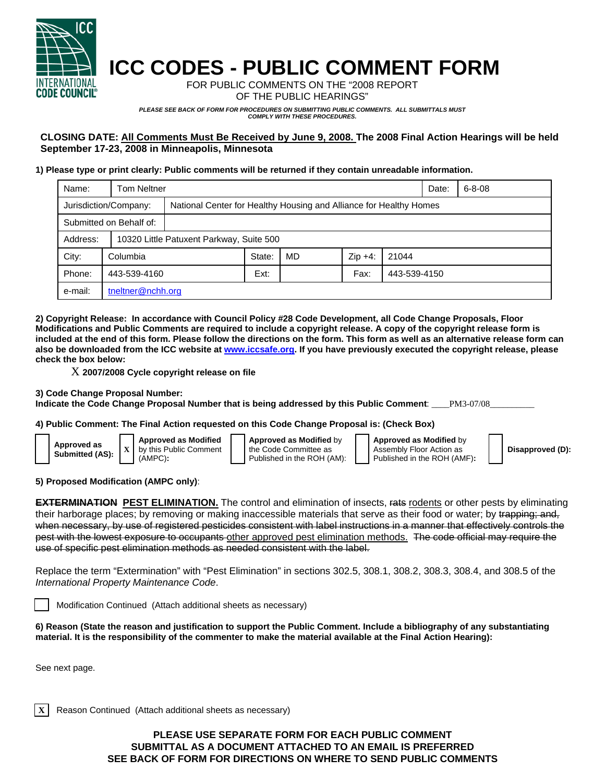

## **ICC CODES - PUBLIC COMMENT FORM**

FOR PUBLIC COMMENTS ON THE "2008 REPORT OF THE PUBLIC HEARINGS"

*PLEASE SEE BACK OF FORM FOR PROCEDURES ON SUBMITTING PUBLIC COMMENTS. ALL SUBMITTALS MUST COMPLY WITH THESE PROCEDURES.* 

**CLOSING DATE: All Comments Must Be Received by June 9, 2008. The 2008 Final Action Hearings will be held September 17-23, 2008 in Minneapolis, Minnesota** 

## **1) Please type or print clearly: Public comments will be returned if they contain unreadable information.**

| Name:                   | Tom Neltner           |                                                                    |        |    |           |              | Date: | $6 - 8 - 08$ |
|-------------------------|-----------------------|--------------------------------------------------------------------|--------|----|-----------|--------------|-------|--------------|
|                         | Jurisdiction/Company: | National Center for Healthy Housing and Alliance for Healthy Homes |        |    |           |              |       |              |
| Submitted on Behalf of: |                       |                                                                    |        |    |           |              |       |              |
| Address:                |                       | 10320 Little Patuxent Parkway, Suite 500                           |        |    |           |              |       |              |
| City:                   | Columbia              |                                                                    | State: | MD | $Zip +4:$ | 21044        |       |              |
| Phone:                  | 443-539-4160          |                                                                    | Ext:   |    | Fax:      | 443-539-4150 |       |              |
| e-mail:                 | tneltner@nchh.org     |                                                                    |        |    |           |              |       |              |

**2) Copyright Release: In accordance with Council Policy #28 Code Development, all Code Change Proposals, Floor Modifications and Public Comments are required to include a copyright release. A copy of the copyright release form is included at the end of this form. Please follow the directions on the form. This form as well as an alternative release form can also be downloaded from the ICC website at www.iccsafe.org. If you have previously executed the copyright release, please check the box below:** 

X **2007/2008 Cycle copyright release on file** 

(AMPC)**:** 

**Approved as Modified** by this Public Comment

**3) Code Change Proposal Number:** 

**Approved as Submitted (AS): <sup>X</sup>**

**Indicate the Code Change Proposal Number that is being addressed by this Public Comment**: \_\_\_\_PM3-07/08\_\_\_\_\_\_\_\_\_\_

**4) Public Comment: The Final Action requested on this Code Change Proposal is: (Check Box)** 

**Approved as Modified** by Assembly Floor Action as Published in the ROH (AMF)**:** 

**Disapproved (D):**

**5) Proposed Modification (AMPC only)**:

**EXTERMINATION PEST ELIMINATION.** The control and elimination of insects, rats rodents or other pests by eliminating their harborage places; by removing or making inaccessible materials that serve as their food or water; by trapping; and, when necessary, by use of registered pesticides consistent with label instructions in a manner that effectively controls the pest with the lowest exposure to occupants other approved pest elimination methods. The code official may require the use of specific pest elimination methods as needed consistent with the label.

**Approved as Modified** by the Code Committee as Published in the ROH (AM):

Replace the term "Extermination" with "Pest Elimination" in sections 302.5, 308.1, 308.2, 308.3, 308.4, and 308.5 of the *International Property Maintenance Code*.

Modification Continued (Attach additional sheets as necessary)

**6) Reason (State the reason and justification to support the Public Comment. Include a bibliography of any substantiating material. It is the responsibility of the commenter to make the material available at the Final Action Hearing):**

See next page.

**X** Reason Continued (Attach additional sheets as necessary)

## **PLEASE USE SEPARATE FORM FOR EACH PUBLIC COMMENT SUBMITTAL AS A DOCUMENT ATTACHED TO AN EMAIL IS PREFERRED SEE BACK OF FORM FOR DIRECTIONS ON WHERE TO SEND PUBLIC COMMENTS**